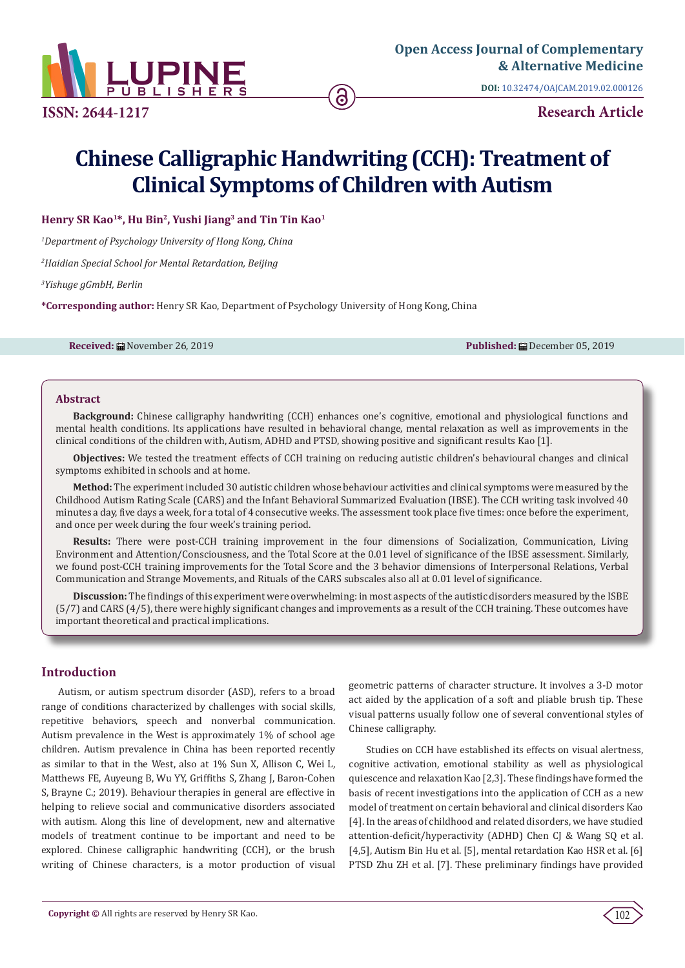

**ISSN: 2644-1217**

**DOI:** [10.32474/OAJCAM.2019.02.00012](http://dx.doi.org/10.32474/OAJCAM.2019.02.000126)6

**Research Article**

# **Chinese Calligraphic Handwriting (CCH): Treatment of Clinical Symptoms of Children with Autism**

**Henry SR Kao1\*, Hu Bin2, Yushi Jiang3 and Tin Tin Kao1**

*1 Department of Psychology University of Hong Kong, China*

*2 Haidian Special School for Mental Retardation, Beijing*

*3 Yishuge gGmbH, Berlin*

**\*Corresponding author:** Henry SR Kao, Department of Psychology University of Hong Kong, China

**Received:** All November 26, 2019 **Published:** All December 05, 2019 **Published:** All December 05, 2019

### **Abstract**

**Background:** Chinese calligraphy handwriting (CCH) enhances one's cognitive, emotional and physiological functions and mental health conditions. Its applications have resulted in behavioral change, mental relaxation as well as improvements in the clinical conditions of the children with, Autism, ADHD and PTSD, showing positive and significant results Kao [1].

**Objectives:** We tested the treatment effects of CCH training on reducing autistic children's behavioural changes and clinical symptoms exhibited in schools and at home.

**Method:** The experiment included 30 autistic children whose behaviour activities and clinical symptoms were measured by the Childhood Autism Rating Scale (CARS) and the Infant Behavioral Summarized Evaluation (IBSE). The CCH writing task involved 40 minutes a day, five days a week, for a total of 4 consecutive weeks. The assessment took place five times: once before the experiment, and once per week during the four week's training period.

**Results:** There were post-CCH training improvement in the four dimensions of Socialization, Communication, Living Environment and Attention/Consciousness, and the Total Score at the 0.01 level of significance of the IBSE assessment. Similarly, we found post-CCH training improvements for the Total Score and the 3 behavior dimensions of Interpersonal Relations, Verbal Communication and Strange Movements, and Rituals of the CARS subscales also all at 0.01 level of significance.

**Discussion:** The findings of this experiment were overwhelming: in most aspects of the autistic disorders measured by the ISBE (5/7) and CARS (4/5), there were highly significant changes and improvements as a result of the CCH training. These outcomes have important theoretical and practical implications.

# **Introduction**

Autism, or autism spectrum disorder (ASD), refers to a broad range of conditions characterized by challenges with social skills, repetitive behaviors, speech and nonverbal communication. Autism prevalence in the West is approximately 1% of school age children. Autism prevalence in China has been reported recently as similar to that in the West, also at 1% Sun X, Allison C, Wei L, Matthews FE, Auyeung B, Wu YY, Griffiths S, Zhang J, Baron-Cohen S, Brayne C.; 2019). Behaviour therapies in general are effective in helping to relieve social and communicative disorders associated with autism. Along this line of development, new and alternative models of treatment continue to be important and need to be explored. Chinese calligraphic handwriting (CCH), or the brush writing of Chinese characters, is a motor production of visual geometric patterns of character structure. It involves a 3-D motor act aided by the application of a soft and pliable brush tip. These visual patterns usually follow one of several conventional styles of Chinese calligraphy.

Studies on CCH have established its effects on visual alertness, cognitive activation, emotional stability as well as physiological quiescence and relaxation Kao [2,3]. These findings have formed the basis of recent investigations into the application of CCH as a new model of treatment on certain behavioral and clinical disorders Kao [4]. In the areas of childhood and related disorders, we have studied attention-deficit/hyperactivity (ADHD) Chen CJ & Wang SQ et al. [4,5], Autism Bin Hu et al. [5], mental retardation Kao HSR et al. [6] PTSD Zhu ZH et al. [7]. These preliminary findings have provided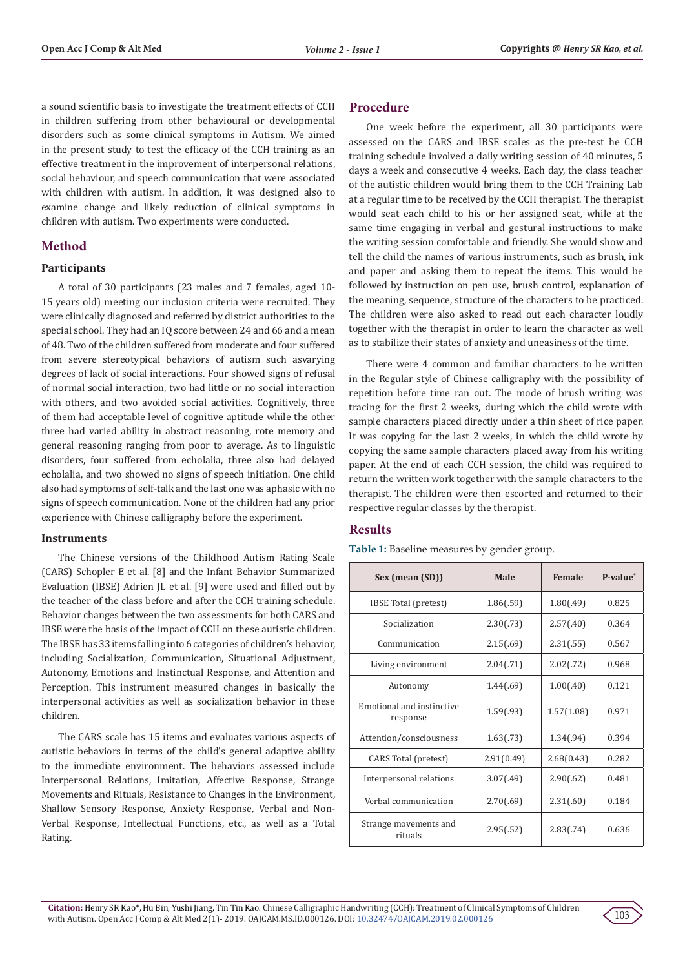a sound scientific basis to investigate the treatment effects of CCH in children suffering from other behavioural or developmental disorders such as some clinical symptoms in Autism. We aimed in the present study to test the efficacy of the CCH training as an effective treatment in the improvement of interpersonal relations, social behaviour, and speech communication that were associated with children with autism. In addition, it was designed also to examine change and likely reduction of clinical symptoms in children with autism. Two experiments were conducted.

# **Method**

#### **Participants**

A total of 30 participants (23 males and 7 females, aged 10- 15 years old) meeting our inclusion criteria were recruited. They were clinically diagnosed and referred by district authorities to the special school. They had an IQ score between 24 and 66 and a mean of 48. Two of the children suffered from moderate and four suffered from severe stereotypical behaviors of autism such asvarying degrees of lack of social interactions. Four showed signs of refusal of normal social interaction, two had little or no social interaction with others, and two avoided social activities. Cognitively, three of them had acceptable level of cognitive aptitude while the other three had varied ability in abstract reasoning, rote memory and general reasoning ranging from poor to average. As to linguistic disorders, four suffered from echolalia, three also had delayed echolalia, and two showed no signs of speech initiation. One child also had symptoms of self-talk and the last one was aphasic with no signs of speech communication. None of the children had any prior experience with Chinese calligraphy before the experiment.

#### **Instruments**

The Chinese versions of the Childhood Autism Rating Scale (CARS) Schopler E et al. [8] and the Infant Behavior Summarized Evaluation (IBSE) Adrien JL et al. [9] were used and filled out by the teacher of the class before and after the CCH training schedule. Behavior changes between the two assessments for both CARS and IBSE were the basis of the impact of CCH on these autistic children. The IBSE has 33 items falling into 6 categories of children's behavior, including Socialization, Communication, Situational Adjustment, Autonomy, Emotions and Instinctual Response, and Attention and Perception. This instrument measured changes in basically the interpersonal activities as well as socialization behavior in these children.

The CARS scale has 15 items and evaluates various aspects of autistic behaviors in terms of the child's general adaptive ability to the immediate environment. The behaviors assessed include Interpersonal Relations, Imitation, Affective Response, Strange Movements and Rituals, Resistance to Changes in the Environment, Shallow Sensory Response, Anxiety Response, Verbal and Non-Verbal Response, Intellectual Functions, etc., as well as a Total Rating.

# **Procedure**

One week before the experiment, all 30 participants were assessed on the CARS and IBSE scales as the pre-test he CCH training schedule involved a daily writing session of 40 minutes, 5 days a week and consecutive 4 weeks. Each day, the class teacher of the autistic children would bring them to the CCH Training Lab at a regular time to be received by the CCH therapist. The therapist would seat each child to his or her assigned seat, while at the same time engaging in verbal and gestural instructions to make the writing session comfortable and friendly. She would show and tell the child the names of various instruments, such as brush, ink and paper and asking them to repeat the items. This would be followed by instruction on pen use, brush control, explanation of the meaning, sequence, structure of the characters to be practiced. The children were also asked to read out each character loudly together with the therapist in order to learn the character as well as to stabilize their states of anxiety and uneasiness of the time.

There were 4 common and familiar characters to be written in the Regular style of Chinese calligraphy with the possibility of repetition before time ran out. The mode of brush writing was tracing for the first 2 weeks, during which the child wrote with sample characters placed directly under a thin sheet of rice paper. It was copying for the last 2 weeks, in which the child wrote by copying the same sample characters placed away from his writing paper. At the end of each CCH session, the child was required to return the written work together with the sample characters to the therapist. The children were then escorted and returned to their respective regular classes by the therapist.

#### **Results**

| Sex (mean (SD))                       | Female<br>Male |            | P-value* |
|---------------------------------------|----------------|------------|----------|
| IBSE Total (pretest)                  | 1.86(.59)      | 1.80(.49)  | 0.825    |
| Socialization                         | 2.30(.73)      | 2.57(.40)  | 0.364    |
| Communication                         | 2.15(.69)      | 2.31(.55)  | 0.567    |
| Living environment                    | 2.04(.71)      | 2.02(.72)  | 0.968    |
| Autonomy                              | 1.44(.69)      | 1.00(.40)  | 0.121    |
| Emotional and instinctive<br>response | 1.59(.93)      | 1.57(1.08) | 0.971    |
| Attention/consciousness               | 1.63(.73)      | 1.34(.94)  | 0.394    |
| CARS Total (pretest)                  | 2.91(0.49)     | 2.68(0.43) | 0.282    |
| Interpersonal relations               | 3.07(.49)      | 2.90(.62)  | 0.481    |
| Verbal communication                  | 2.70(.69)      | 2.31(.60)  | 0.184    |
| Strange movements and<br>rituals      | 2.95(.52)      | 2.83(.74)  | 0.636    |

**Table 1:** Baseline measures by gender group.

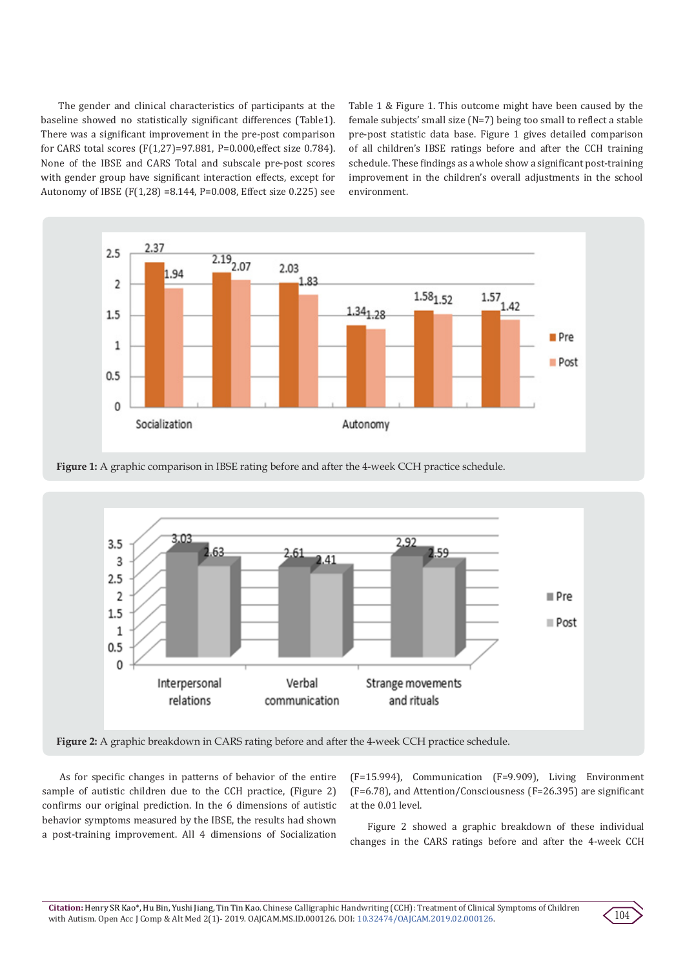The gender and clinical characteristics of participants at the baseline showed no statistically significant differences (Table1). There was a significant improvement in the pre-post comparison for CARS total scores (F(1,27)=97.881, P=0.000,effect size 0.784). None of the IBSE and CARS Total and subscale pre-post scores with gender group have significant interaction effects, except for Autonomy of IBSE (F(1,28) =8.144, P=0.008, Effect size 0.225) see Table 1 & Figure 1. This outcome might have been caused by the female subjects' small size (N=7) being too small to reflect a stable pre-post statistic data base. Figure 1 gives detailed comparison of all children's IBSE ratings before and after the CCH training schedule. These findings as a whole show a significant post-training improvement in the children's overall adjustments in the school environment.





**Figure 1:** A graphic comparison in IBSE rating before and after the 4-week CCH practice schedule.

**Figure 2:** A graphic breakdown in CARS rating before and after the 4-week CCH practice schedule.

As for specific changes in patterns of behavior of the entire sample of autistic children due to the CCH practice, (Figure 2) confirms our original prediction. In the 6 dimensions of autistic behavior symptoms measured by the IBSE, the results had shown a post-training improvement. All 4 dimensions of Socialization

(F=15.994), Communication (F=9.909), Living Environment (F=6.78), and Attention/Consciousness (F=26.395) are significant at the 0.01 level.

Figure 2 showed a graphic breakdown of these individual changes in the CARS ratings before and after the 4-week CCH

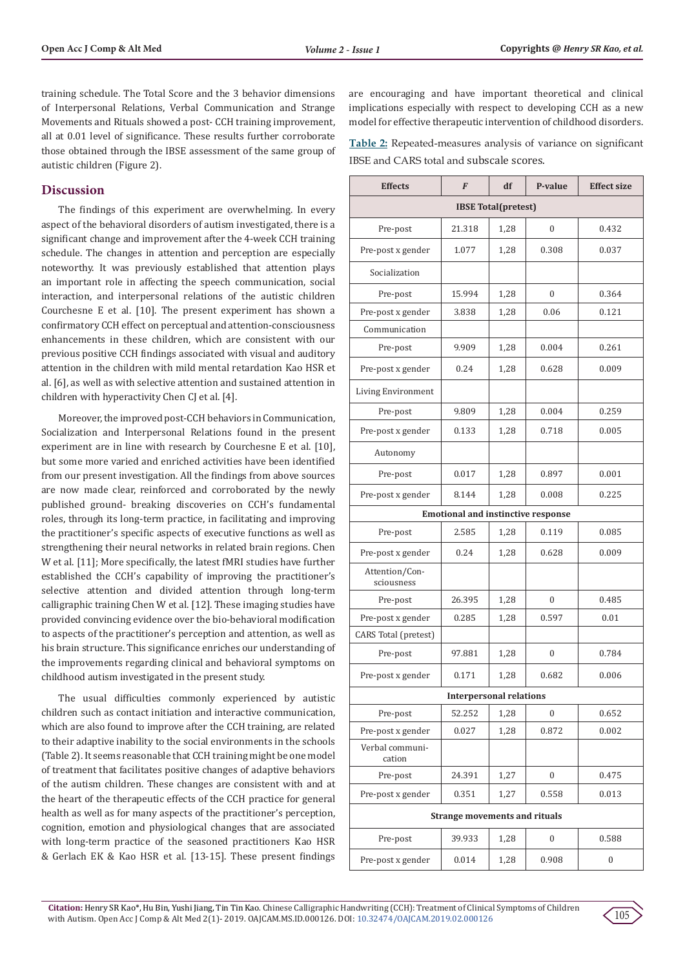training schedule. The Total Score and the 3 behavior dimensions of Interpersonal Relations, Verbal Communication and Strange Movements and Rituals showed a post- CCH training improvement, all at 0.01 level of significance. These results further corroborate those obtained through the IBSE assessment of the same group of autistic children (Figure 2).

## **Discussion**

The findings of this experiment are overwhelming. In every aspect of the behavioral disorders of autism investigated, there is a significant change and improvement after the 4-week CCH training schedule. The changes in attention and perception are especially noteworthy. It was previously established that attention plays an important role in affecting the speech communication, social interaction, and interpersonal relations of the autistic children Courchesne E et al. [10]. The present experiment has shown a confirmatory CCH effect on perceptual and attention-consciousness enhancements in these children, which are consistent with our previous positive CCH findings associated with visual and auditory attention in the children with mild mental retardation Kao HSR et al. [6], as well as with selective attention and sustained attention in children with hyperactivity Chen CJ et al. [4].

Moreover, the improved post-CCH behaviors in Communication, Socialization and Interpersonal Relations found in the present experiment are in line with research by Courchesne E et al. [10], but some more varied and enriched activities have been identified from our present investigation. All the findings from above sources are now made clear, reinforced and corroborated by the newly published ground- breaking discoveries on CCH's fundamental roles, through its long-term practice, in facilitating and improving the practitioner's specific aspects of executive functions as well as strengthening their neural networks in related brain regions. Chen W et al. [11]; More specifically, the latest fMRI studies have further established the CCH's capability of improving the practitioner's selective attention and divided attention through long-term calligraphic training Chen W et al. [12]. These imaging studies have provided convincing evidence over the bio-behavioral modification to aspects of the practitioner's perception and attention, as well as his brain structure. This significance enriches our understanding of the improvements regarding clinical and behavioral symptoms on childhood autism investigated in the present study.

The usual difficulties commonly experienced by autistic children such as contact initiation and interactive communication, which are also found to improve after the CCH training, are related to their adaptive inability to the social environments in the schools (Table 2). It seems reasonable that CCH training might be one model of treatment that facilitates positive changes of adaptive behaviors of the autism children. These changes are consistent with and at the heart of the therapeutic effects of the CCH practice for general health as well as for many aspects of the practitioner's perception, cognition, emotion and physiological changes that are associated with long-term practice of the seasoned practitioners Kao HSR & Gerlach EK & Kao HSR et al. [13-15]. These present findings

are encouraging and have important theoretical and clinical implications especially with respect to developing CCH as a new model for effective therapeutic intervention of childhood disorders.

**Table 2:** Repeated-measures analysis of variance on significant IBSE and CARS total and subscale scores.

| <b>Effects</b>                            | F      | df   | P-value          | <b>Effect size</b> |  |  |
|-------------------------------------------|--------|------|------------------|--------------------|--|--|
| <b>IBSE Total(pretest)</b>                |        |      |                  |                    |  |  |
| Pre-post                                  | 21.318 | 1,28 | $\Omega$         | 0.432              |  |  |
| Pre-post x gender                         | 1.077  | 1,28 | 0.308            | 0.037              |  |  |
| Socialization                             |        |      |                  |                    |  |  |
| Pre-post                                  | 15.994 | 1,28 | $\Omega$         | 0.364              |  |  |
| Pre-post x gender                         | 3.838  | 1,28 | 0.06             | 0.121              |  |  |
| Communication                             |        |      |                  |                    |  |  |
| Pre-post                                  | 9.909  | 1,28 | 0.004            | 0.261              |  |  |
| Pre-post x gender                         | 0.24   | 1,28 | 0.628            | 0.009              |  |  |
| Living Environment                        |        |      |                  |                    |  |  |
| Pre-post                                  | 9.809  | 1,28 | 0.004            | 0.259              |  |  |
| Pre-post x gender                         | 0.133  | 1,28 | 0.718            | 0.005              |  |  |
| Autonomy                                  |        |      |                  |                    |  |  |
| Pre-post                                  | 0.017  | 1,28 | 0.897            | 0.001              |  |  |
| Pre-post x gender                         | 8.144  | 1,28 | 0.008            | 0.225              |  |  |
| <b>Emotional and instinctive response</b> |        |      |                  |                    |  |  |
| Pre-post                                  | 2.585  | 1,28 | 0.119            | 0.085              |  |  |
| Pre-post x gender                         | 0.24   | 1,28 | 0.628            | 0.009              |  |  |
| Attention/Con-<br>sciousness              |        |      |                  |                    |  |  |
| Pre-post                                  | 26.395 | 1,28 | $\theta$         | 0.485              |  |  |
| Pre-post x gender                         | 0.285  | 1,28 | 0.597            | 0.01               |  |  |
| CARS Total (pretest)                      |        |      |                  |                    |  |  |
| Pre-post                                  | 97.881 | 1,28 | $\mathbf{0}$     | 0.784              |  |  |
| Pre-post x gender                         | 0.171  | 1,28 | 0.682            | 0.006              |  |  |
| <b>Interpersonal relations</b>            |        |      |                  |                    |  |  |
| Pre-post                                  | 52.252 | 1,28 | $\boldsymbol{0}$ | 0.652              |  |  |
| Pre-post x gender                         | 0.027  | 1,28 | 0.872            | 0.002              |  |  |
| Verbal communi-<br>cation                 |        |      |                  |                    |  |  |
| Pre-post                                  | 24.391 | 1,27 | 0                | 0.475              |  |  |
| Pre-post x gender                         | 0.351  | 1,27 | 0.558            | 0.013              |  |  |
| <b>Strange movements and rituals</b>      |        |      |                  |                    |  |  |
| Pre-post                                  | 39.933 | 1,28 | $\mathbf{0}$     | 0.588              |  |  |
| Pre-post x gender                         | 0.014  | 1,28 | 0.908            | 0                  |  |  |

**Citation:** Henry SR Kao\*, Hu Bin, Yushi Jiang, Tin Tin Kao. Chinese Calligraphic Handwriting (CCH): Treatment of Clinical Symptoms of Children with Autism. Open Acc J Comp & Alt Med 2(1)- 2019. OAJCAM.MS.ID.000126. DOI: [10.32474/OAJCAM.2019.02.00012](http://dx.doi.org/10.32474/OAJCAM.2019.02.000126)6